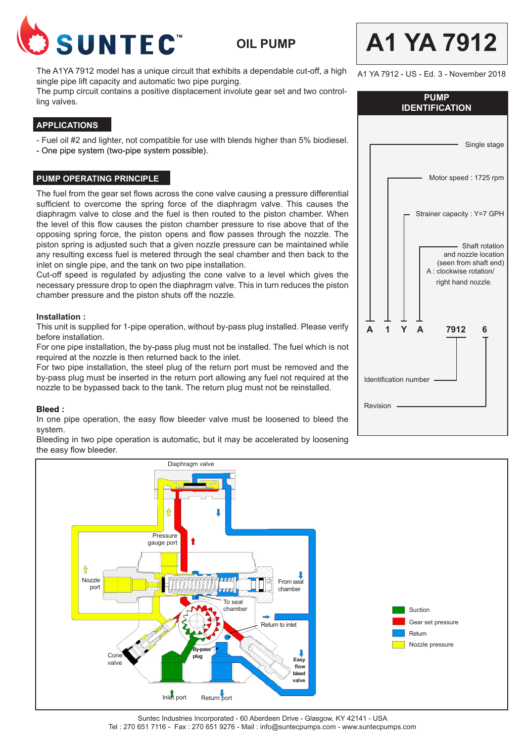

**OIL PUMP**

The A1YA 7912 model has a unique circuit that exhibits a dependable cut-off, a high single pipe lift capacity and automatic two pipe purging.

The pump circuit contains a positive displacement involute gear set and two controlling valves.

# **APPLICATIONS**

- Fuel oil #2 and lighter, not compatible for use with blends higher than 5% biodiesel.

- One pipe system (two-pipe system possible).

#### **PUMP OPERATING PRINCIPLE**

The fuel from the gear set flows across the cone valve causing a pressure differential sufficient to overcome the spring force of the diaphragm valve. This causes the diaphragm valve to close and the fuel is then routed to the piston chamber. When the level of this flow causes the piston chamber pressure to rise above that of the opposing spring force, the piston opens and flow passes through the nozzle. The piston spring is adjusted such that a given nozzle pressure can be maintained while any resulting excess fuel is metered through the seal chamber and then back to the inlet on single pipe, and the tank on two pipe installation.

Cut-off speed is regulated by adjusting the cone valve to a level which gives the necessary pressure drop to open the diaphragm valve. This in turn reduces the piston chamber pressure and the piston shuts off the nozzle.

#### **Installation :**

This unit is supplied for 1-pipe operation, without by-pass plug installed. Please verify before installation.

For one pipe installation, the by-pass plug must not be installed. The fuel which is not required at the nozzle is then returned back to the inlet.

For two pipe installation, the steel plug of the return port must be removed and the by-pass plug must be inserted in the return port allowing any fuel not required at the nozzle to be bypassed back to the tank. The return plug must not be reinstalled.

#### **Bleed :**

In one pipe operation, the easy flow bleeder valve must be loosened to bleed the system.

Bleeding in two pipe operation is automatic, but it may be accelerated by loosening the easy flow bleeder.



A1 YA 7912 - US - Ed. 3 - November 2018

**A1 YA 7912**

| <b>PUMP</b><br><b>IDENTIFICATION</b>                                                          |  |  |
|-----------------------------------------------------------------------------------------------|--|--|
| Single stage                                                                                  |  |  |
| Motor speed: 1725 rpm                                                                         |  |  |
| Strainer capacity : Y=7 GPH<br>Shaft rotation                                                 |  |  |
| and nozzle location<br>(seen from shaft end)<br>A : clockwise rotation/<br>right hand nozzle. |  |  |
| 7912<br>A<br>Δ<br>6<br>1                                                                      |  |  |
| <b>Identification number</b>                                                                  |  |  |
| Revision                                                                                      |  |  |